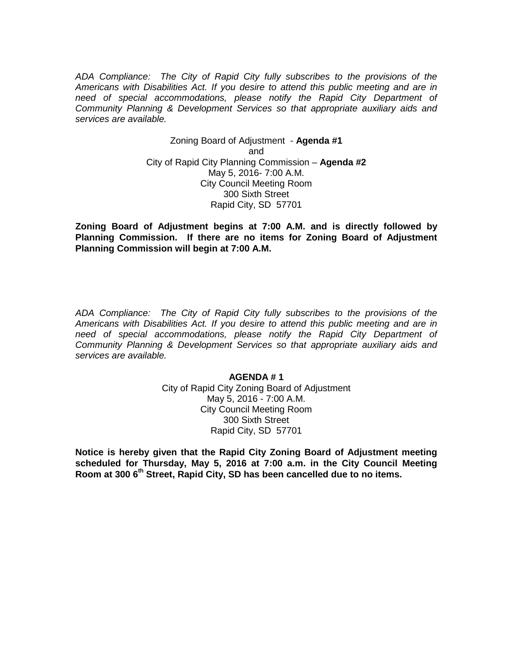*ADA Compliance: The City of Rapid City fully subscribes to the provisions of the Americans with Disabilities Act. If you desire to attend this public meeting and are in need of special accommodations, please notify the Rapid City Department of Community Planning & Development Services so that appropriate auxiliary aids and services are available.*

> Zoning Board of Adjustment - **Agenda #1** and City of Rapid City Planning Commission – **Agenda #2** May 5, 2016- 7:00 A.M. City Council Meeting Room 300 Sixth Street Rapid City, SD 57701

**Zoning Board of Adjustment begins at 7:00 A.M. and is directly followed by Planning Commission. If there are no items for Zoning Board of Adjustment Planning Commission will begin at 7:00 A.M.**

*ADA Compliance: The City of Rapid City fully subscribes to the provisions of the Americans with Disabilities Act. If you desire to attend this public meeting and are in need of special accommodations, please notify the Rapid City Department of Community Planning & Development Services so that appropriate auxiliary aids and services are available.*

# **AGENDA # 1**

City of Rapid City Zoning Board of Adjustment May 5, 2016 - 7:00 A.M. City Council Meeting Room 300 Sixth Street Rapid City, SD 57701

**Notice is hereby given that the Rapid City Zoning Board of Adjustment meeting scheduled for Thursday, May 5, 2016 at 7:00 a.m. in the City Council Meeting Room at 300 6th Street, Rapid City, SD has been cancelled due to no items.**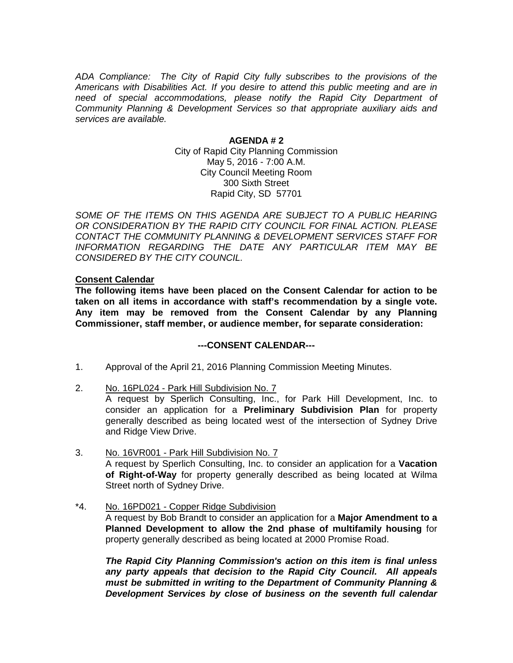*ADA Compliance: The City of Rapid City fully subscribes to the provisions of the Americans with Disabilities Act. If you desire to attend this public meeting and are in need of special accommodations, please notify the Rapid City Department of Community Planning & Development Services so that appropriate auxiliary aids and services are available.*

### **AGENDA # 2**

City of Rapid City Planning Commission May 5, 2016 - 7:00 A.M. City Council Meeting Room 300 Sixth Street Rapid City, SD 57701

SOME OF THE ITEMS ON THIS AGENDA ARE SUBJECT TO A PUBLIC HEARING *OR CONSIDERATION BY THE RAPID CITY COUNCIL FOR FINAL ACTION. PLEASE CONTACT THE COMMUNITY PLANNING & DEVELOPMENT SERVICES STAFF FOR INFORMATION REGARDING THE DATE ANY PARTICULAR ITEM MAY BE CONSIDERED BY THE CITY COUNCIL.*

### **Consent Calendar**

**The following items have been placed on the Consent Calendar for action to be taken on all items in accordance with staff's recommendation by a single vote. Any item may be removed from the Consent Calendar by any Planning Commissioner, staff member, or audience member, for separate consideration:**

## **---CONSENT CALENDAR---**

- 1. Approval of the April 21, 2016 Planning Commission Meeting Minutes.
- 2. No. 16PL024 Park Hill Subdivision No. 7

A request by Sperlich Consulting, Inc., for Park Hill Development, Inc. to consider an application for a **Preliminary Subdivision Plan** for property generally described as being located west of the intersection of Sydney Drive and Ridge View Drive.

- 3. No. 16VR001 Park Hill Subdivision No. 7 A request by Sperlich Consulting, Inc. to consider an application for a **Vacation of Right-of-Way** for property generally described as being located at Wilma Street north of Sydney Drive.
- \*4. No. 16PD021 Copper Ridge Subdivision

A request by Bob Brandt to consider an application for a **Major Amendment to a Planned Development to allow the 2nd phase of multifamily housing** for property generally described as being located at 2000 Promise Road.

*The Rapid City Planning Commission's action on this item is final unless any party appeals that decision to the Rapid City Council. All appeals must be submitted in writing to the Department of Community Planning & Development Services by close of business on the seventh full calendar*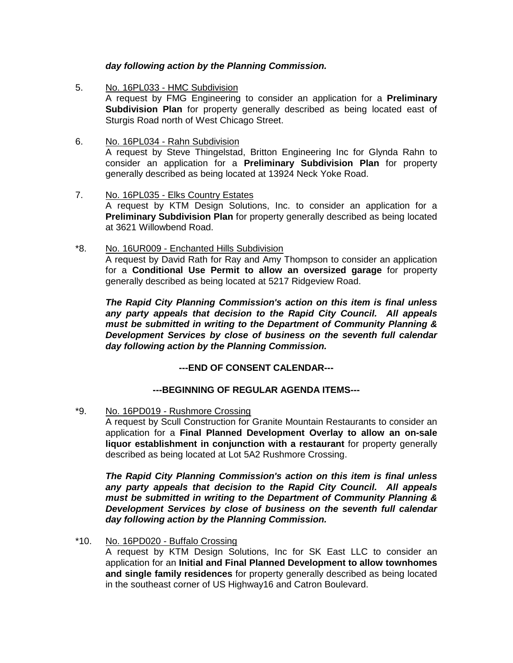## *day following action by the Planning Commission.*

- 5. No. 16PL033 HMC Subdivision A request by FMG Engineering to consider an application for a **Preliminary Subdivision Plan** for property generally described as being located east of Sturgis Road north of West Chicago Street.
- 6. No. 16PL034 Rahn Subdivision A request by Steve Thingelstad, Britton Engineering Inc for Glynda Rahn to consider an application for a **Preliminary Subdivision Plan** for property generally described as being located at 13924 Neck Yoke Road.
- 7. No. 16PL035 Elks Country Estates A request by KTM Design Solutions, Inc. to consider an application for a **Preliminary Subdivision Plan** for property generally described as being located at 3621 Willowbend Road.
- \*8. No. 16UR009 Enchanted Hills Subdivision A request by David Rath for Ray and Amy Thompson to consider an application for a **Conditional Use Permit to allow an oversized garage** for property generally described as being located at 5217 Ridgeview Road.

*The Rapid City Planning Commission's action on this item is final unless any party appeals that decision to the Rapid City Council. All appeals must be submitted in writing to the Department of Community Planning & Development Services by close of business on the seventh full calendar day following action by the Planning Commission.*

**---END OF CONSENT CALENDAR---**

# **---BEGINNING OF REGULAR AGENDA ITEMS---**

\*9. No. 16PD019 - Rushmore Crossing

A request by Scull Construction for Granite Mountain Restaurants to consider an application for a **Final Planned Development Overlay to allow an on-sale liquor establishment in conjunction with a restaurant** for property generally described as being located at Lot 5A2 Rushmore Crossing.

*The Rapid City Planning Commission's action on this item is final unless any party appeals that decision to the Rapid City Council. All appeals must be submitted in writing to the Department of Community Planning & Development Services by close of business on the seventh full calendar day following action by the Planning Commission.*

\*10. No. 16PD020 - Buffalo Crossing

A request by KTM Design Solutions, Inc for SK East LLC to consider an application for an **Initial and Final Planned Development to allow townhomes and single family residences** for property generally described as being located in the southeast corner of US Highway16 and Catron Boulevard.